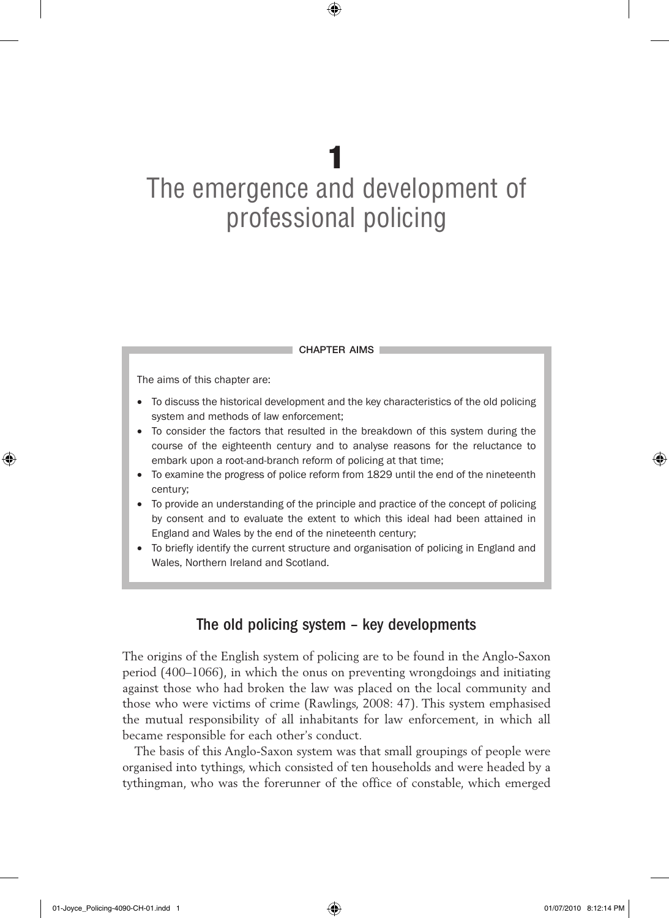# 1 The emergence and development of professional policing

 $\textcircled{\scriptsize\textsf{P}}$ 

chapter aims

The aims of this chapter are:

- To discuss the historical development and the key characteristics of the old policing system and methods of law enforcement;
- To consider the factors that resulted in the breakdown of this system during the course of the eighteenth century and to analyse reasons for the reluctance to embark upon a root-and-branch reform of policing at that time;
- To examine the progress of police reform from 1829 until the end of the nineteenth century;
- To provide an understanding of the principle and practice of the concept of policing by consent and to evaluate the extent to which this ideal had been attained in England and Wales by the end of the nineteenth century;
- To briefly identify the current structure and organisation of policing in England and Wales, Northern Ireland and Scotland.

# The old policing system – key developments

The origins of the English system of policing are to be found in the Anglo-Saxon period (400–1066), in which the onus on preventing wrongdoings and initiating against those who had broken the law was placed on the local community and those who were victims of crime (Rawlings, 2008: 47). This system emphasised the mutual responsibility of all inhabitants for law enforcement, in which all became responsible for each other's conduct.

The basis of this Anglo-Saxon system was that small groupings of people were organised into tythings, which consisted of ten households and were headed by a tythingman, who was the forerunner of the office of constable, which emerged

⊕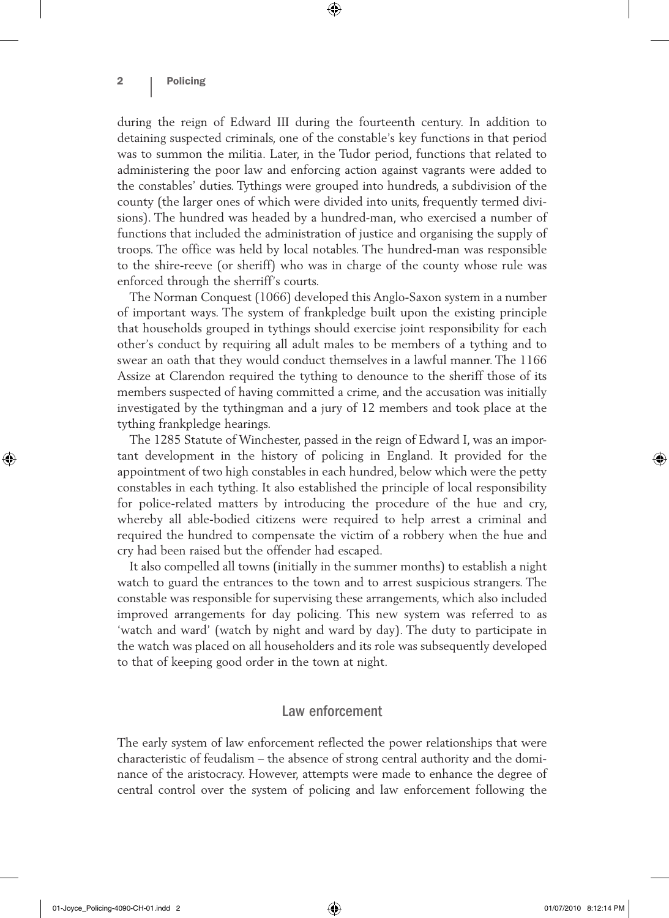during the reign of Edward III during the fourteenth century. In addition to detaining suspected criminals, one of the constable's key functions in that period was to summon the militia. Later, in the Tudor period, functions that related to administering the poor law and enforcing action against vagrants were added to the constables' duties. Tythings were grouped into hundreds, a subdivision of the county (the larger ones of which were divided into units, frequently termed divisions). The hundred was headed by a hundred-man, who exercised a number of functions that included the administration of justice and organising the supply of troops. The office was held by local notables. The hundred-man was responsible to the shire-reeve (or sheriff) who was in charge of the county whose rule was enforced through the sherriff's courts.

⊕

The Norman Conquest (1066) developed this Anglo-Saxon system in a number of important ways. The system of frankpledge built upon the existing principle that households grouped in tythings should exercise joint responsibility for each other's conduct by requiring all adult males to be members of a tything and to swear an oath that they would conduct themselves in a lawful manner. The 1166 Assize at Clarendon required the tything to denounce to the sheriff those of its members suspected of having committed a crime, and the accusation was initially investigated by the tythingman and a jury of 12 members and took place at the tything frankpledge hearings.

The 1285 Statute of Winchester, passed in the reign of Edward I, was an important development in the history of policing in England. It provided for the appointment of two high constables in each hundred, below which were the petty constables in each tything. It also established the principle of local responsibility for police-related matters by introducing the procedure of the hue and cry, whereby all able-bodied citizens were required to help arrest a criminal and required the hundred to compensate the victim of a robbery when the hue and cry had been raised but the offender had escaped.

It also compelled all towns (initially in the summer months) to establish a night watch to guard the entrances to the town and to arrest suspicious strangers. The constable was responsible for supervising these arrangements, which also included improved arrangements for day policing. This new system was referred to as 'watch and ward' (watch by night and ward by day). The duty to participate in the watch was placed on all householders and its role was subsequently developed to that of keeping good order in the town at night.

#### Law enforcement

The early system of law enforcement reflected the power relationships that were characteristic of feudalism – the absence of strong central authority and the dominance of the aristocracy. However, attempts were made to enhance the degree of central control over the system of policing and law enforcement following the

⊕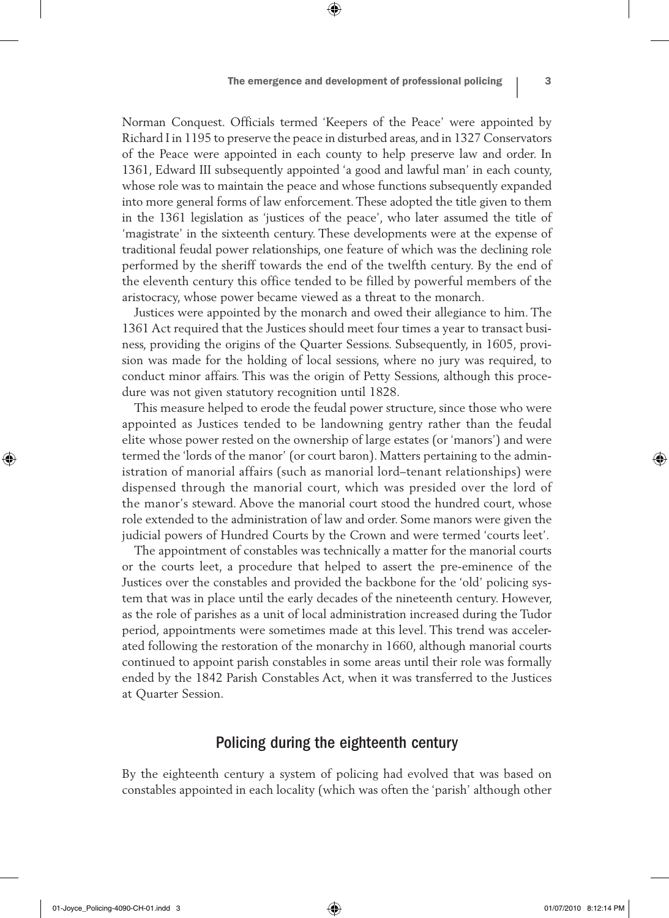Norman Conquest. Officials termed 'Keepers of the Peace' were appointed by Richard I in 1195 to preserve the peace in disturbed areas, and in 1327 Conservators of the Peace were appointed in each county to help preserve law and order. In 1361, Edward III subsequently appointed 'a good and lawful man' in each county, whose role was to maintain the peace and whose functions subsequently expanded into more general forms of law enforcement. These adopted the title given to them in the 1361 legislation as 'justices of the peace', who later assumed the title of 'magistrate' in the sixteenth century. These developments were at the expense of traditional feudal power relationships, one feature of which was the declining role performed by the sheriff towards the end of the twelfth century. By the end of the eleventh century this office tended to be filled by powerful members of the aristocracy, whose power became viewed as a threat to the monarch.

⊕

Justices were appointed by the monarch and owed their allegiance to him. The 1361 Act required that the Justices should meet four times a year to transact business, providing the origins of the Quarter Sessions. Subsequently, in 1605, provision was made for the holding of local sessions, where no jury was required, to conduct minor affairs. This was the origin of Petty Sessions, although this procedure was not given statutory recognition until 1828.

This measure helped to erode the feudal power structure, since those who were appointed as Justices tended to be landowning gentry rather than the feudal elite whose power rested on the ownership of large estates (or 'manors') and were termed the 'lords of the manor' (or court baron). Matters pertaining to the administration of manorial affairs (such as manorial lord–tenant relationships) were dispensed through the manorial court, which was presided over the lord of the manor's steward. Above the manorial court stood the hundred court, whose role extended to the administration of law and order. Some manors were given the judicial powers of Hundred Courts by the Crown and were termed 'courts leet'.

The appointment of constables was technically a matter for the manorial courts or the courts leet, a procedure that helped to assert the pre-eminence of the Justices over the constables and provided the backbone for the 'old' policing system that was in place until the early decades of the nineteenth century. However, as the role of parishes as a unit of local administration increased during the Tudor period, appointments were sometimes made at this level. This trend was accelerated following the restoration of the monarchy in 1660, although manorial courts continued to appoint parish constables in some areas until their role was formally ended by the 1842 Parish Constables Act, when it was transferred to the Justices at Quarter Session.

# Policing during the eighteenth century

By the eighteenth century a system of policing had evolved that was based on constables appointed in each locality (which was often the 'parish' although other

♠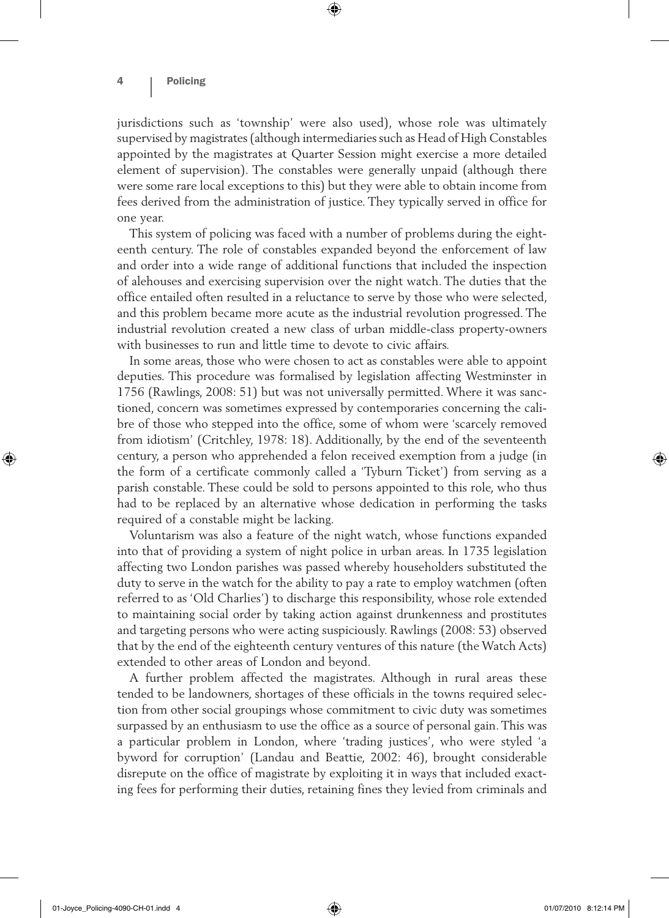jurisdictions such as 'township' were also used), whose role was ultimately supervised by magistrates (although intermediaries such as Head of High Constables appointed by the magistrates at Quarter Session might exercise a more detailed element of supervision). The constables were generally unpaid (although there were some rare local exceptions to this) but they were able to obtain income from fees derived from the administration of justice. They typically served in office for one year.

 $\textcircled{\scriptsize{*}}$ 

This system of policing was faced with a number of problems during the eighteenth century. The role of constables expanded beyond the enforcement of law and order into a wide range of additional functions that included the inspection of alehouses and exercising supervision over the night watch. The duties that the office entailed often resulted in a reluctance to serve by those who were selected, and this problem became more acute as the industrial revolution progressed. The industrial revolution created a new class of urban middle-class property-owners with businesses to run and little time to devote to civic affairs.

In some areas, those who were chosen to act as constables were able to appoint deputies. This procedure was formalised by legislation affecting Westminster in 1756 (Rawlings, 2008: 51) but was not universally permitted. Where it was sanctioned, concern was sometimes expressed by contemporaries concerning the calibre of those who stepped into the office, some of whom were 'scarcely removed from idiotism' (Critchley, 1978: 18). Additionally, by the end of the seventeenth century, a person who apprehended a felon received exemption from a judge (in the form of a certificate commonly called a 'Tyburn Ticket') from serving as a parish constable. These could be sold to persons appointed to this role, who thus had to be replaced by an alternative whose dedication in performing the tasks required of a constable might be lacking.

Voluntarism was also a feature of the night watch, whose functions expanded into that of providing a system of night police in urban areas. In 1735 legislation affecting two London parishes was passed whereby householders substituted the duty to serve in the watch for the ability to pay a rate to employ watchmen (often referred to as 'Old Charlies') to discharge this responsibility, whose role extended to maintaining social order by taking action against drunkenness and prostitutes and targeting persons who were acting suspiciously. Rawlings (2008: 53) observed that by the end of the eighteenth century ventures of this nature (the Watch Acts) extended to other areas of London and beyond.

A further problem affected the magistrates. Although in rural areas these tended to be landowners, shortages of these officials in the towns required selection from other social groupings whose commitment to civic duty was sometimes surpassed by an enthusiasm to use the office as a source of personal gain. This was a particular problem in London, where 'trading justices', who were styled 'a byword for corruption' (Landau and Beattie, 2002: 46), brought considerable disrepute on the office of magistrate by exploiting it in ways that included exacting fees for performing their duties, retaining fines they levied from criminals and

♠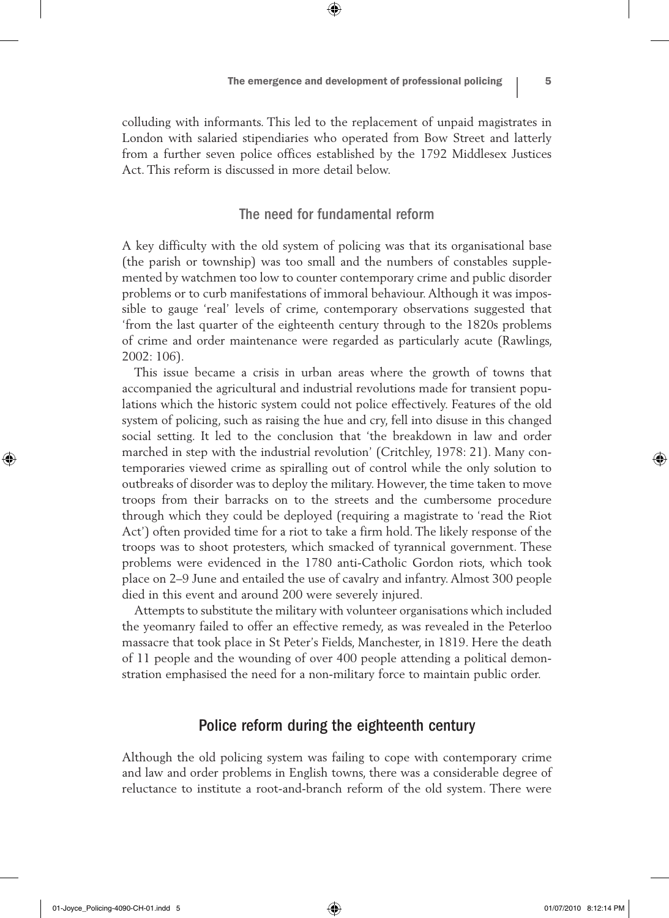colluding with informants. This led to the replacement of unpaid magistrates in London with salaried stipendiaries who operated from Bow Street and latterly from a further seven police offices established by the 1792 Middlesex Justices Act. This reform is discussed in more detail below.

⊕

# The need for fundamental reform

A key difficulty with the old system of policing was that its organisational base (the parish or township) was too small and the numbers of constables supplemented by watchmen too low to counter contemporary crime and public disorder problems or to curb manifestations of immoral behaviour. Although it was impossible to gauge 'real' levels of crime, contemporary observations suggested that 'from the last quarter of the eighteenth century through to the 1820s problems of crime and order maintenance were regarded as particularly acute (Rawlings, 2002: 106).

This issue became a crisis in urban areas where the growth of towns that accompanied the agricultural and industrial revolutions made for transient populations which the historic system could not police effectively. Features of the old system of policing, such as raising the hue and cry, fell into disuse in this changed social setting. It led to the conclusion that 'the breakdown in law and order marched in step with the industrial revolution' (Critchley, 1978: 21). Many contemporaries viewed crime as spiralling out of control while the only solution to outbreaks of disorder was to deploy the military. However, the time taken to move troops from their barracks on to the streets and the cumbersome procedure through which they could be deployed (requiring a magistrate to 'read the Riot Act') often provided time for a riot to take a firm hold. The likely response of the troops was to shoot protesters, which smacked of tyrannical government. These problems were evidenced in the 1780 anti-Catholic Gordon riots, which took place on 2–9 June and entailed the use of cavalry and infantry. Almost 300 people died in this event and around 200 were severely injured.

Attempts to substitute the military with volunteer organisations which included the yeomanry failed to offer an effective remedy, as was revealed in the Peterloo massacre that took place in St Peter's Fields, Manchester, in 1819. Here the death of 11 people and the wounding of over 400 people attending a political demonstration emphasised the need for a non-military force to maintain public order.

#### Police reform during the eighteenth century

Although the old policing system was failing to cope with contemporary crime and law and order problems in English towns, there was a considerable degree of reluctance to institute a root-and-branch reform of the old system. There were

♠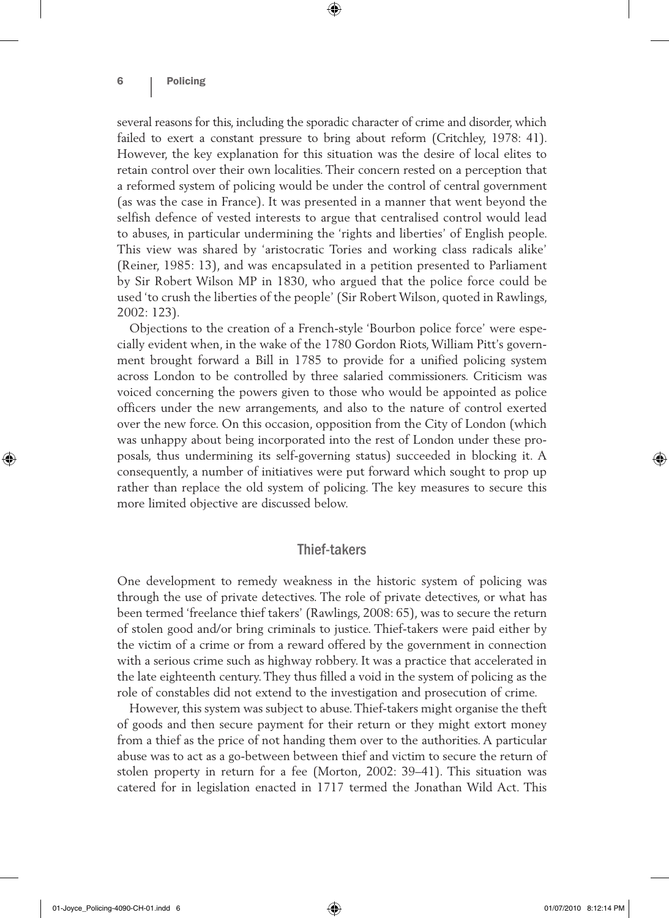several reasons for this, including the sporadic character of crime and disorder, which failed to exert a constant pressure to bring about reform (Critchley, 1978: 41). However, the key explanation for this situation was the desire of local elites to retain control over their own localities. Their concern rested on a perception that a reformed system of policing would be under the control of central government (as was the case in France). It was presented in a manner that went beyond the selfish defence of vested interests to argue that centralised control would lead to abuses, in particular undermining the 'rights and liberties' of English people. This view was shared by 'aristocratic Tories and working class radicals alike' (Reiner, 1985: 13), and was encapsulated in a petition presented to Parliament by Sir Robert Wilson MP in 1830, who argued that the police force could be used 'to crush the liberties of the people' (Sir Robert Wilson, quoted in Rawlings, 2002: 123).

 $\textcircled{\scriptsize{*}}$ 

Objections to the creation of a French-style 'Bourbon police force' were especially evident when, in the wake of the 1780 Gordon Riots, William Pitt's government brought forward a Bill in 1785 to provide for a unified policing system across London to be controlled by three salaried commissioners. Criticism was voiced concerning the powers given to those who would be appointed as police officers under the new arrangements, and also to the nature of control exerted over the new force. On this occasion, opposition from the City of London (which was unhappy about being incorporated into the rest of London under these proposals, thus undermining its self-governing status) succeeded in blocking it. A consequently, a number of initiatives were put forward which sought to prop up rather than replace the old system of policing. The key measures to secure this more limited objective are discussed below.

### Thief-takers

One development to remedy weakness in the historic system of policing was through the use of private detectives. The role of private detectives, or what has been termed 'freelance thief takers' (Rawlings, 2008: 65), was to secure the return of stolen good and/or bring criminals to justice. Thief-takers were paid either by the victim of a crime or from a reward offered by the government in connection with a serious crime such as highway robbery. It was a practice that accelerated in the late eighteenth century. They thus filled a void in the system of policing as the role of constables did not extend to the investigation and prosecution of crime.

However, this system was subject to abuse. Thief-takers might organise the theft of goods and then secure payment for their return or they might extort money from a thief as the price of not handing them over to the authorities. A particular abuse was to act as a go-between between thief and victim to secure the return of stolen property in return for a fee (Morton, 2002: 39–41). This situation was catered for in legislation enacted in 1717 termed the Jonathan Wild Act. This

⊕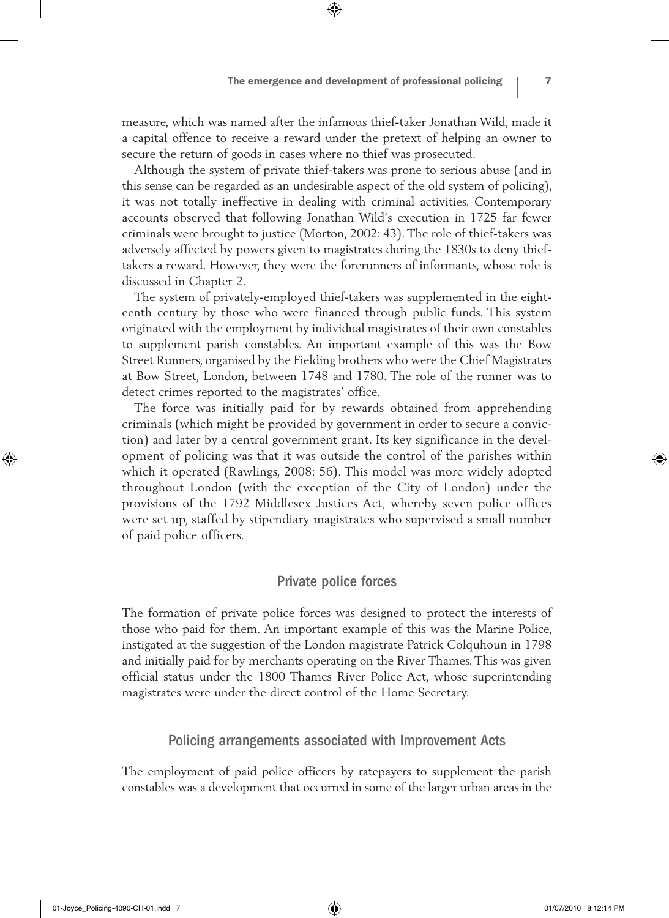measure, which was named after the infamous thief-taker Jonathan Wild, made it a capital offence to receive a reward under the pretext of helping an owner to secure the return of goods in cases where no thief was prosecuted.

 $\textcircled{\scriptsize{*}}$ 

Although the system of private thief-takers was prone to serious abuse (and in this sense can be regarded as an undesirable aspect of the old system of policing), it was not totally ineffective in dealing with criminal activities. Contemporary accounts observed that following Jonathan Wild's execution in 1725 far fewer criminals were brought to justice (Morton, 2002: 43). The role of thief-takers was adversely affected by powers given to magistrates during the 1830s to deny thieftakers a reward. However, they were the forerunners of informants, whose role is discussed in Chapter 2.

The system of privately-employed thief-takers was supplemented in the eighteenth century by those who were financed through public funds. This system originated with the employment by individual magistrates of their own constables to supplement parish constables. An important example of this was the Bow Street Runners, organised by the Fielding brothers who were the Chief Magistrates at Bow Street, London, between 1748 and 1780. The role of the runner was to detect crimes reported to the magistrates' office.

The force was initially paid for by rewards obtained from apprehending criminals (which might be provided by government in order to secure a conviction) and later by a central government grant. Its key significance in the development of policing was that it was outside the control of the parishes within which it operated (Rawlings, 2008: 56). This model was more widely adopted throughout London (with the exception of the City of London) under the provisions of the 1792 Middlesex Justices Act, whereby seven police offices were set up, staffed by stipendiary magistrates who supervised a small number of paid police officers.

#### Private police forces

The formation of private police forces was designed to protect the interests of those who paid for them. An important example of this was the Marine Police, instigated at the suggestion of the London magistrate Patrick Colquhoun in 1798 and initially paid for by merchants operating on the River Thames. This was given official status under the 1800 Thames River Police Act, whose superintending magistrates were under the direct control of the Home Secretary.

#### Policing arrangements associated with Improvement Acts

The employment of paid police officers by ratepayers to supplement the parish constables was a development that occurred in some of the larger urban areas in the

♠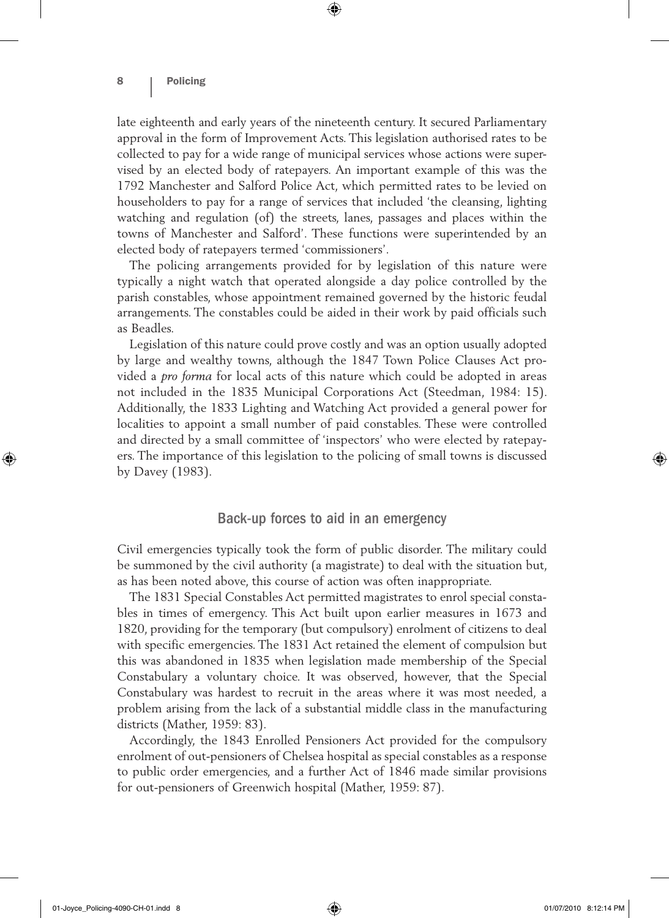late eighteenth and early years of the nineteenth century. It secured Parliamentary approval in the form of Improvement Acts. This legislation authorised rates to be collected to pay for a wide range of municipal services whose actions were supervised by an elected body of ratepayers. An important example of this was the 1792 Manchester and Salford Police Act, which permitted rates to be levied on householders to pay for a range of services that included 'the cleansing, lighting watching and regulation (of) the streets, lanes, passages and places within the towns of Manchester and Salford'. These functions were superintended by an elected body of ratepayers termed 'commissioners'.

⊕

The policing arrangements provided for by legislation of this nature were typically a night watch that operated alongside a day police controlled by the parish constables, whose appointment remained governed by the historic feudal arrangements. The constables could be aided in their work by paid officials such as Beadles.

Legislation of this nature could prove costly and was an option usually adopted by large and wealthy towns, although the 1847 Town Police Clauses Act provided a *pro forma* for local acts of this nature which could be adopted in areas not included in the 1835 Municipal Corporations Act (Steedman, 1984: 15). Additionally, the 1833 Lighting and Watching Act provided a general power for localities to appoint a small number of paid constables. These were controlled and directed by a small committee of 'inspectors' who were elected by ratepayers. The importance of this legislation to the policing of small towns is discussed by Davey (1983).

# Back-up forces to aid in an emergency

Civil emergencies typically took the form of public disorder. The military could be summoned by the civil authority (a magistrate) to deal with the situation but, as has been noted above, this course of action was often inappropriate.

The 1831 Special Constables Act permitted magistrates to enrol special constables in times of emergency. This Act built upon earlier measures in 1673 and 1820, providing for the temporary (but compulsory) enrolment of citizens to deal with specific emergencies. The 1831 Act retained the element of compulsion but this was abandoned in 1835 when legislation made membership of the Special Constabulary a voluntary choice. It was observed, however, that the Special Constabulary was hardest to recruit in the areas where it was most needed, a problem arising from the lack of a substantial middle class in the manufacturing districts (Mather, 1959: 83).

Accordingly, the 1843 Enrolled Pensioners Act provided for the compulsory enrolment of out-pensioners of Chelsea hospital as special constables as a response to public order emergencies, and a further Act of 1846 made similar provisions for out-pensioners of Greenwich hospital (Mather, 1959: 87).

♠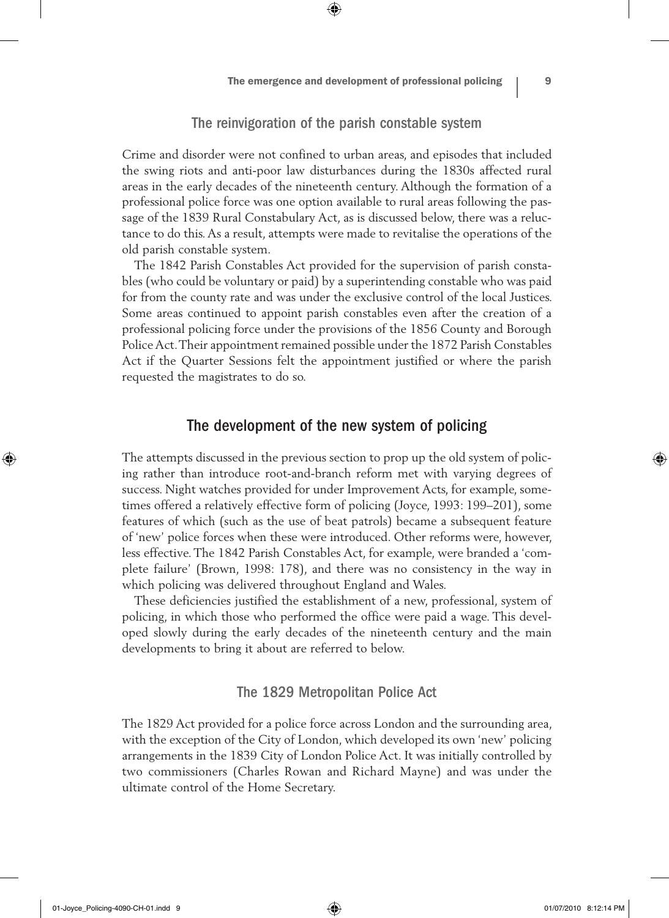# The reinvigoration of the parish constable system

⊕

Crime and disorder were not confined to urban areas, and episodes that included the swing riots and anti-poor law disturbances during the 1830s affected rural areas in the early decades of the nineteenth century. Although the formation of a professional police force was one option available to rural areas following the passage of the 1839 Rural Constabulary Act, as is discussed below, there was a reluctance to do this. As a result, attempts were made to revitalise the operations of the old parish constable system.

The 1842 Parish Constables Act provided for the supervision of parish constables (who could be voluntary or paid) by a superintending constable who was paid for from the county rate and was under the exclusive control of the local Justices. Some areas continued to appoint parish constables even after the creation of a professional policing force under the provisions of the 1856 County and Borough Police Act. Their appointment remained possible under the 1872 Parish Constables Act if the Quarter Sessions felt the appointment justified or where the parish requested the magistrates to do so.

# The development of the new system of policing

The attempts discussed in the previous section to prop up the old system of policing rather than introduce root-and-branch reform met with varying degrees of success. Night watches provided for under Improvement Acts, for example, sometimes offered a relatively effective form of policing (Joyce, 1993: 199–201), some features of which (such as the use of beat patrols) became a subsequent feature of 'new' police forces when these were introduced. Other reforms were, however, less effective. The 1842 Parish Constables Act, for example, were branded a 'complete failure' (Brown, 1998: 178), and there was no consistency in the way in which policing was delivered throughout England and Wales.

These deficiencies justified the establishment of a new, professional, system of policing, in which those who performed the office were paid a wage. This developed slowly during the early decades of the nineteenth century and the main developments to bring it about are referred to below.

# The 1829 Metropolitan Police Act

The 1829 Act provided for a police force across London and the surrounding area, with the exception of the City of London, which developed its own 'new' policing arrangements in the 1839 City of London Police Act. It was initially controlled by two commissioners (Charles Rowan and Richard Mayne) and was under the ultimate control of the Home Secretary.

01-Joyce\_Policing-4090-CH-01.indd 9 01/07/2010 8:12:14 PM

⊕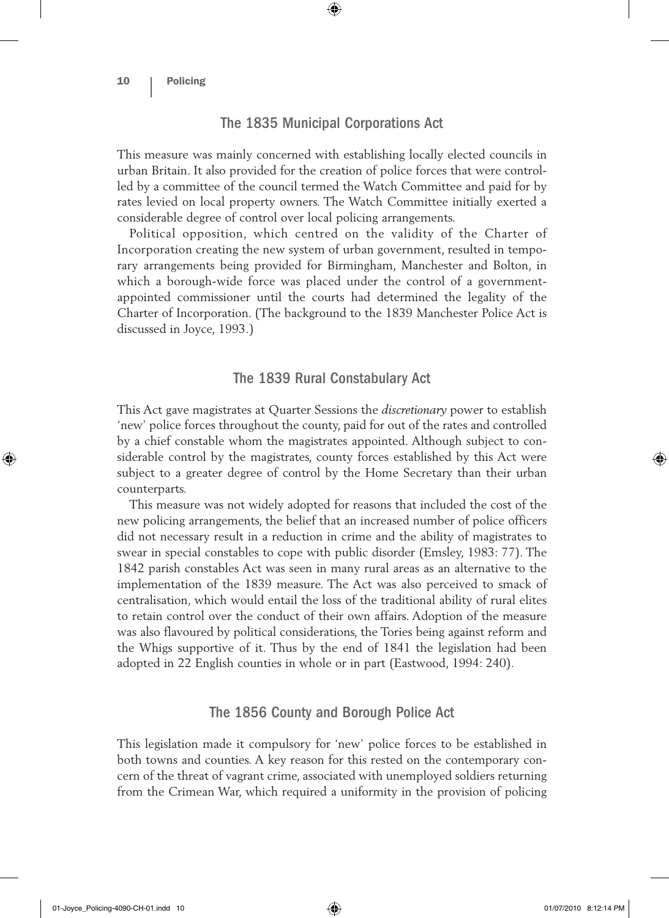# The 1835 Municipal Corporations Act

 $\textcircled{\scriptsize{*}}$ 

This measure was mainly concerned with establishing locally elected councils in urban Britain. It also provided for the creation of police forces that were controlled by a committee of the council termed the Watch Committee and paid for by rates levied on local property owners. The Watch Committee initially exerted a considerable degree of control over local policing arrangements.

Political opposition, which centred on the validity of the Charter of Incorporation creating the new system of urban government, resulted in temporary arrangements being provided for Birmingham, Manchester and Bolton, in which a borough-wide force was placed under the control of a governmentappointed commissioner until the courts had determined the legality of the Charter of Incorporation. (The background to the 1839 Manchester Police Act is discussed in Joyce, 1993.)

#### The 1839 Rural Constabulary Act

This Act gave magistrates at Quarter Sessions the *discretionary* power to establish 'new' police forces throughout the county, paid for out of the rates and controlled by a chief constable whom the magistrates appointed. Although subject to considerable control by the magistrates, county forces established by this Act were subject to a greater degree of control by the Home Secretary than their urban counterparts.

This measure was not widely adopted for reasons that included the cost of the new policing arrangements, the belief that an increased number of police officers did not necessary result in a reduction in crime and the ability of magistrates to swear in special constables to cope with public disorder (Emsley, 1983: 77). The 1842 parish constables Act was seen in many rural areas as an alternative to the implementation of the 1839 measure. The Act was also perceived to smack of centralisation, which would entail the loss of the traditional ability of rural elites to retain control over the conduct of their own affairs. Adoption of the measure was also flavoured by political considerations, the Tories being against reform and the Whigs supportive of it. Thus by the end of 1841 the legislation had been adopted in 22 English counties in whole or in part (Eastwood, 1994: 240).

#### The 1856 County and Borough Police Act

This legislation made it compulsory for 'new' police forces to be established in both towns and counties. A key reason for this rested on the contemporary concern of the threat of vagrant crime, associated with unemployed soldiers returning from the Crimean War, which required a uniformity in the provision of policing

01-Joyce\_Policing-4090-CH-01.indd 10 01/07/2010 8:12:14 PM

⊕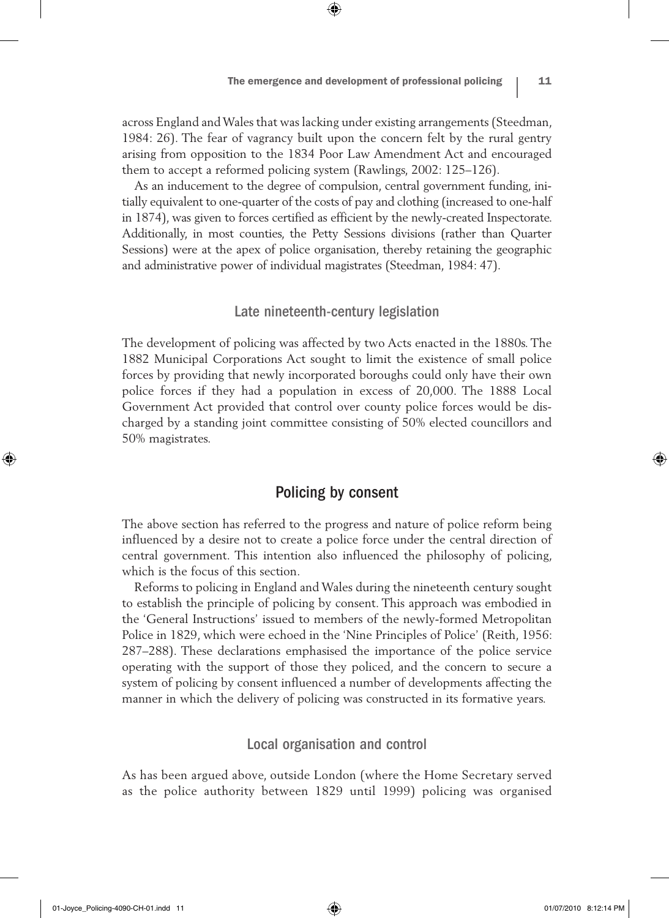across England and Wales that was lacking under existing arrangements (Steedman, 1984: 26). The fear of vagrancy built upon the concern felt by the rural gentry arising from opposition to the 1834 Poor Law Amendment Act and encouraged them to accept a reformed policing system (Rawlings, 2002: 125–126).

⊕

As an inducement to the degree of compulsion, central government funding, initially equivalent to one-quarter of the costs of pay and clothing (increased to one-half in 1874), was given to forces certified as efficient by the newly-created Inspectorate. Additionally, in most counties, the Petty Sessions divisions (rather than Quarter Sessions) were at the apex of police organisation, thereby retaining the geographic and administrative power of individual magistrates (Steedman, 1984: 47).

#### Late nineteenth-century legislation

The development of policing was affected by two Acts enacted in the 1880s. The 1882 Municipal Corporations Act sought to limit the existence of small police forces by providing that newly incorporated boroughs could only have their own police forces if they had a population in excess of 20,000. The 1888 Local Government Act provided that control over county police forces would be discharged by a standing joint committee consisting of 50% elected councillors and 50% magistrates.

# Policing by consent

The above section has referred to the progress and nature of police reform being influenced by a desire not to create a police force under the central direction of central government. This intention also influenced the philosophy of policing, which is the focus of this section.

Reforms to policing in England and Wales during the nineteenth century sought to establish the principle of policing by consent. This approach was embodied in the 'General Instructions' issued to members of the newly-formed Metropolitan Police in 1829, which were echoed in the 'Nine Principles of Police' (Reith, 1956: 287–288). These declarations emphasised the importance of the police service operating with the support of those they policed, and the concern to secure a system of policing by consent influenced a number of developments affecting the manner in which the delivery of policing was constructed in its formative years.

## Local organisation and control

As has been argued above, outside London (where the Home Secretary served as the police authority between 1829 until 1999) policing was organised

01-Joyce\_Policing-4090-CH-01.indd 11 01/07/2010 8:12:14 PM

⊕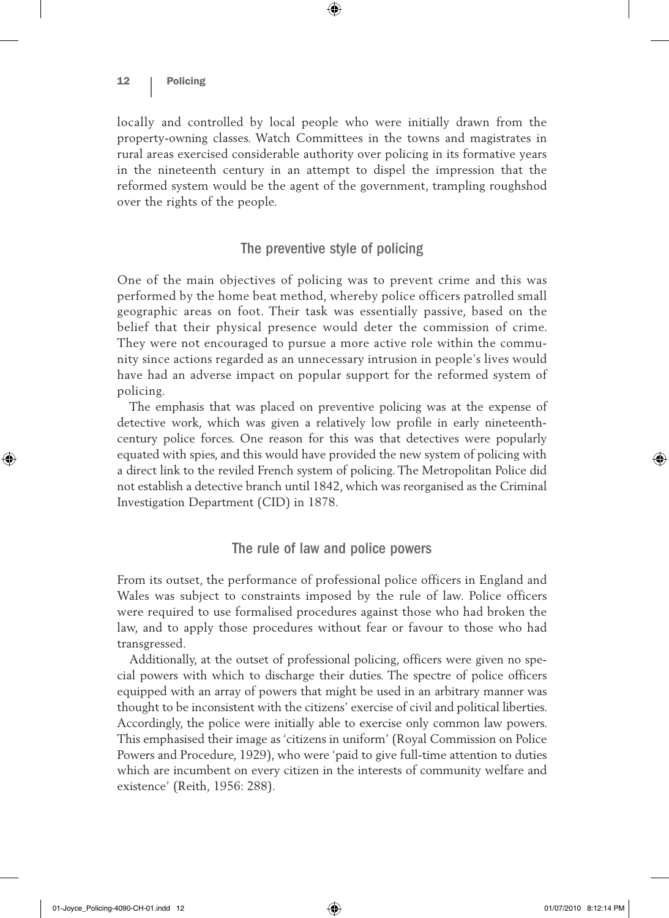locally and controlled by local people who were initially drawn from the property-owning classes. Watch Committees in the towns and magistrates in rural areas exercised considerable authority over policing in its formative years in the nineteenth century in an attempt to dispel the impression that the reformed system would be the agent of the government, trampling roughshod over the rights of the people.

 $\textcircled{\scriptsize{*}}$ 

# The preventive style of policing

One of the main objectives of policing was to prevent crime and this was performed by the home beat method, whereby police officers patrolled small geographic areas on foot. Their task was essentially passive, based on the belief that their physical presence would deter the commission of crime. They were not encouraged to pursue a more active role within the community since actions regarded as an unnecessary intrusion in people's lives would have had an adverse impact on popular support for the reformed system of policing.

The emphasis that was placed on preventive policing was at the expense of detective work, which was given a relatively low profile in early nineteenthcentury police forces. One reason for this was that detectives were popularly equated with spies, and this would have provided the new system of policing with a direct link to the reviled French system of policing. The Metropolitan Police did not establish a detective branch until 1842, which was reorganised as the Criminal Investigation Department (CID) in 1878.

## The rule of law and police powers

From its outset, the performance of professional police officers in England and Wales was subject to constraints imposed by the rule of law. Police officers were required to use formalised procedures against those who had broken the law, and to apply those procedures without fear or favour to those who had transgressed.

Additionally, at the outset of professional policing, officers were given no special powers with which to discharge their duties. The spectre of police officers equipped with an array of powers that might be used in an arbitrary manner was thought to be inconsistent with the citizens' exercise of civil and political liberties. Accordingly, the police were initially able to exercise only common law powers. This emphasised their image as 'citizens in uniform' (Royal Commission on Police Powers and Procedure, 1929), who were 'paid to give full-time attention to duties which are incumbent on every citizen in the interests of community welfare and existence' (Reith, 1956: 288).

⊕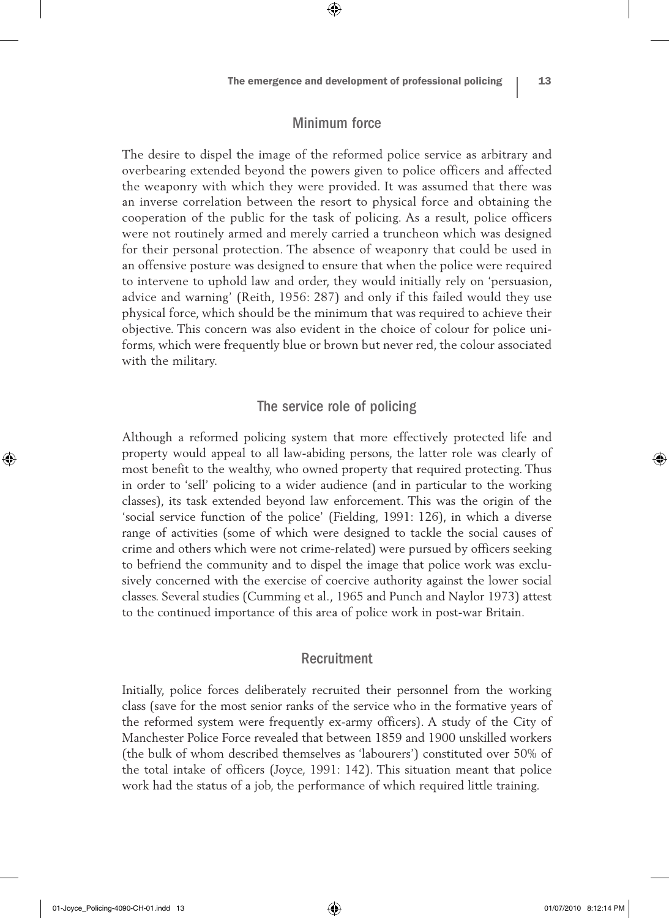# Minimum force

⊕

The desire to dispel the image of the reformed police service as arbitrary and overbearing extended beyond the powers given to police officers and affected the weaponry with which they were provided. It was assumed that there was an inverse correlation between the resort to physical force and obtaining the cooperation of the public for the task of policing. As a result, police officers were not routinely armed and merely carried a truncheon which was designed for their personal protection. The absence of weaponry that could be used in an offensive posture was designed to ensure that when the police were required to intervene to uphold law and order, they would initially rely on 'persuasion, advice and warning' (Reith, 1956: 287) and only if this failed would they use physical force, which should be the minimum that was required to achieve their objective. This concern was also evident in the choice of colour for police uniforms, which were frequently blue or brown but never red, the colour associated with the military.

## The service role of policing

Although a reformed policing system that more effectively protected life and property would appeal to all law-abiding persons, the latter role was clearly of most benefit to the wealthy, who owned property that required protecting. Thus in order to 'sell' policing to a wider audience (and in particular to the working classes), its task extended beyond law enforcement. This was the origin of the 'social service function of the police' (Fielding, 1991: 126), in which a diverse range of activities (some of which were designed to tackle the social causes of crime and others which were not crime-related) were pursued by officers seeking to befriend the community and to dispel the image that police work was exclusively concerned with the exercise of coercive authority against the lower social classes. Several studies (Cumming et al., 1965 and Punch and Naylor 1973) attest to the continued importance of this area of police work in post-war Britain.

#### Recruitment

Initially, police forces deliberately recruited their personnel from the working class (save for the most senior ranks of the service who in the formative years of the reformed system were frequently ex-army officers). A study of the City of Manchester Police Force revealed that between 1859 and 1900 unskilled workers (the bulk of whom described themselves as 'labourers') constituted over 50% of the total intake of officers (Joyce, 1991: 142). This situation meant that police work had the status of a job, the performance of which required little training.

⊕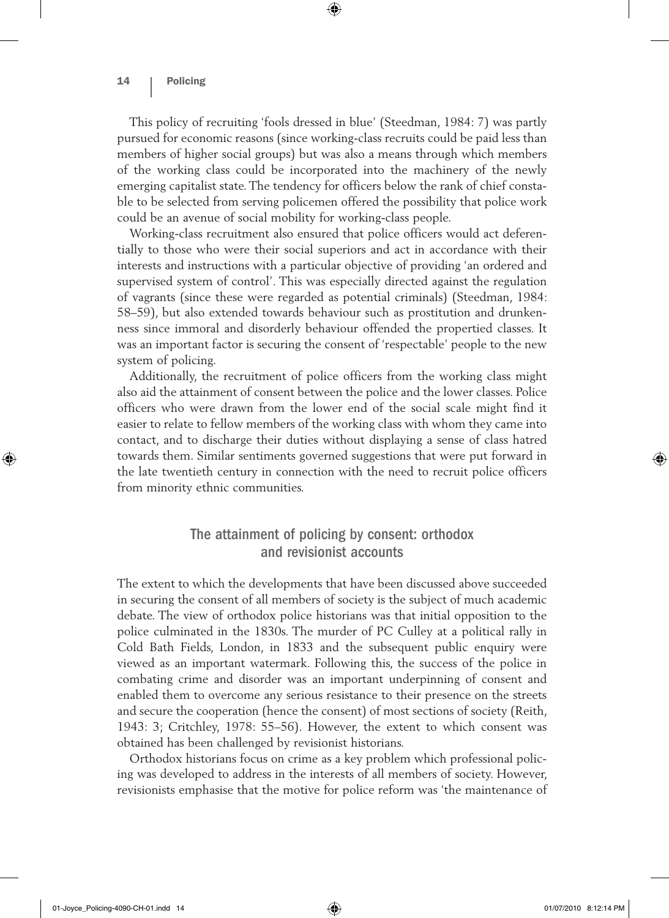This policy of recruiting 'fools dressed in blue' (Steedman, 1984: 7) was partly pursued for economic reasons (since working-class recruits could be paid less than members of higher social groups) but was also a means through which members of the working class could be incorporated into the machinery of the newly emerging capitalist state. The tendency for officers below the rank of chief constable to be selected from serving policemen offered the possibility that police work could be an avenue of social mobility for working-class people.

⊕

Working-class recruitment also ensured that police officers would act deferentially to those who were their social superiors and act in accordance with their interests and instructions with a particular objective of providing 'an ordered and supervised system of control'. This was especially directed against the regulation of vagrants (since these were regarded as potential criminals) (Steedman, 1984: 58–59), but also extended towards behaviour such as prostitution and drunkenness since immoral and disorderly behaviour offended the propertied classes. It was an important factor is securing the consent of 'respectable' people to the new system of policing.

Additionally, the recruitment of police officers from the working class might also aid the attainment of consent between the police and the lower classes. Police officers who were drawn from the lower end of the social scale might find it easier to relate to fellow members of the working class with whom they came into contact, and to discharge their duties without displaying a sense of class hatred towards them. Similar sentiments governed suggestions that were put forward in the late twentieth century in connection with the need to recruit police officers from minority ethnic communities.

# The attainment of policing by consent: orthodox and revisionist accounts

The extent to which the developments that have been discussed above succeeded in securing the consent of all members of society is the subject of much academic debate. The view of orthodox police historians was that initial opposition to the police culminated in the 1830s. The murder of PC Culley at a political rally in Cold Bath Fields, London, in 1833 and the subsequent public enquiry were viewed as an important watermark. Following this, the success of the police in combating crime and disorder was an important underpinning of consent and enabled them to overcome any serious resistance to their presence on the streets and secure the cooperation (hence the consent) of most sections of society (Reith, 1943: 3; Critchley, 1978: 55–56). However, the extent to which consent was obtained has been challenged by revisionist historians.

Orthodox historians focus on crime as a key problem which professional policing was developed to address in the interests of all members of society. However, revisionists emphasise that the motive for police reform was 'the maintenance of

♠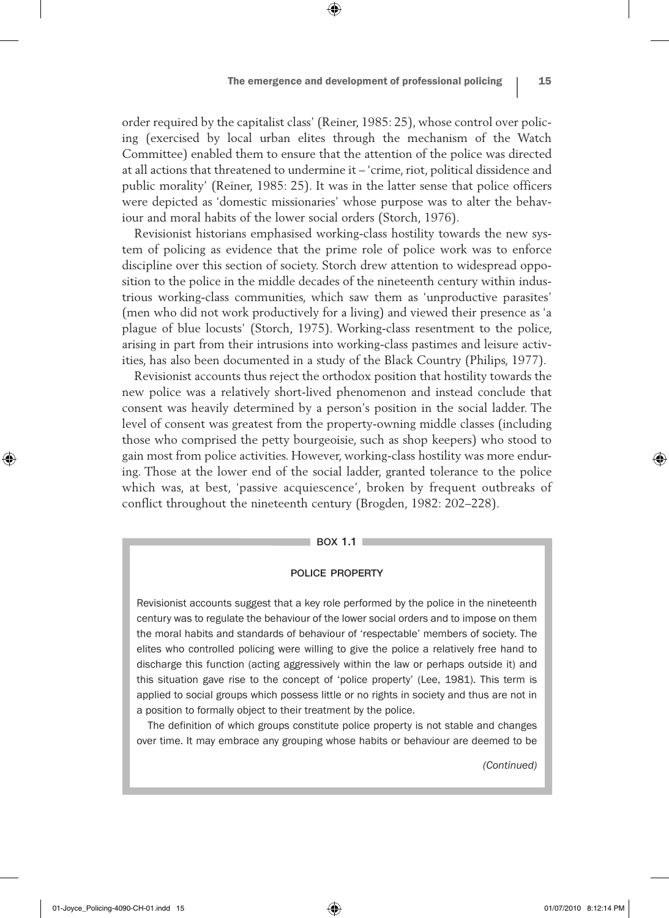order required by the capitalist class' (Reiner, 1985: 25), whose control over policing (exercised by local urban elites through the mechanism of the Watch Committee) enabled them to ensure that the attention of the police was directed at all actions that threatened to undermine it – 'crime, riot, political dissidence and public morality' (Reiner, 1985: 25). It was in the latter sense that police officers were depicted as 'domestic missionaries' whose purpose was to alter the behaviour and moral habits of the lower social orders (Storch, 1976).

⊕

Revisionist historians emphasised working-class hostility towards the new system of policing as evidence that the prime role of police work was to enforce discipline over this section of society. Storch drew attention to widespread opposition to the police in the middle decades of the nineteenth century within industrious working-class communities, which saw them as 'unproductive parasites' (men who did not work productively for a living) and viewed their presence as 'a plague of blue locusts' (Storch, 1975). Working-class resentment to the police, arising in part from their intrusions into working-class pastimes and leisure activities, has also been documented in a study of the Black Country (Philips, 1977).

Revisionist accounts thus reject the orthodox position that hostility towards the new police was a relatively short-lived phenomenon and instead conclude that consent was heavily determined by a person's position in the social ladder. The level of consent was greatest from the property-owning middle classes (including those who comprised the petty bourgeoisie, such as shop keepers) who stood to gain most from police activities. However, working-class hostility was more enduring. Those at the lower end of the social ladder, granted tolerance to the police which was, at best, 'passive acquiescence', broken by frequent outbreaks of conflict throughout the nineteenth century (Brogden, 1982: 202–228).

#### box 1.1

#### police property

Revisionist accounts suggest that a key role performed by the police in the nineteenth century was to regulate the behaviour of the lower social orders and to impose on them the moral habits and standards of behaviour of 'respectable' members of society. The elites who controlled policing were willing to give the police a relatively free hand to discharge this function (acting aggressively within the law or perhaps outside it) and this situation gave rise to the concept of 'police property' (Lee, 1981). This term is applied to social groups which possess little or no rights in society and thus are not in a position to formally object to their treatment by the police.

The definition of which groups constitute police property is not stable and changes over time. It may embrace any grouping whose habits or behaviour are deemed to be

*(Continued)*

♠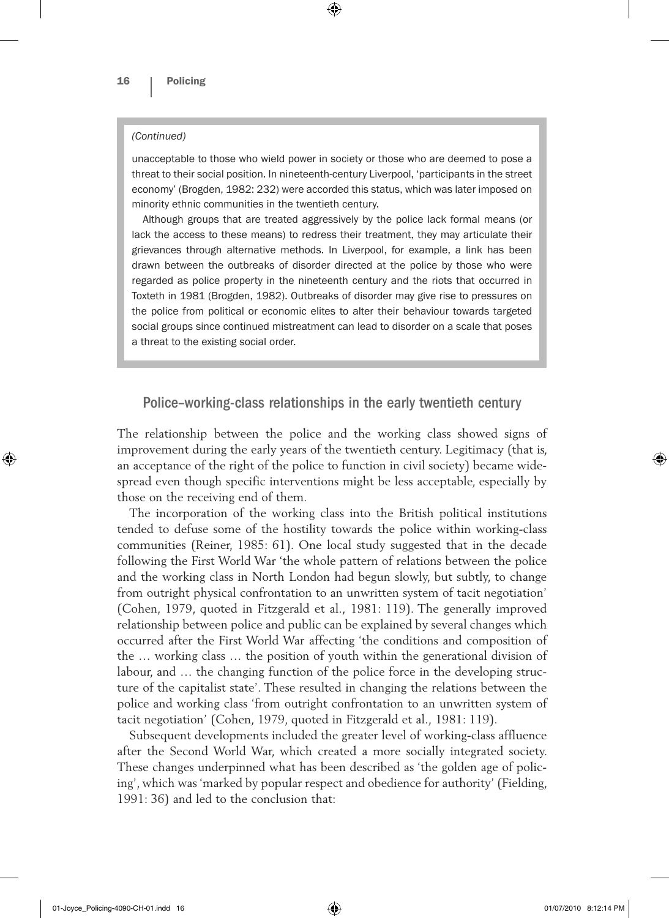#### *(Continued)*

unacceptable to those who wield power in society or those who are deemed to pose a threat to their social position. In nineteenth-century Liverpool, 'participants in the street economy' (Brogden, 1982: 232) were accorded this status, which was later imposed on minority ethnic communities in the twentieth century.

 $\textcircled{\scriptsize{*}}$ 

Although groups that are treated aggressively by the police lack formal means (or lack the access to these means) to redress their treatment, they may articulate their grievances through alternative methods. In Liverpool, for example, a link has been drawn between the outbreaks of disorder directed at the police by those who were regarded as police property in the nineteenth century and the riots that occurred in Toxteth in 1981 (Brogden, 1982). Outbreaks of disorder may give rise to pressures on the police from political or economic elites to alter their behaviour towards targeted social groups since continued mistreatment can lead to disorder on a scale that poses a threat to the existing social order.

# Police–working-class relationships in the early twentieth century

The relationship between the police and the working class showed signs of improvement during the early years of the twentieth century. Legitimacy (that is, an acceptance of the right of the police to function in civil society) became widespread even though specific interventions might be less acceptable, especially by those on the receiving end of them.

The incorporation of the working class into the British political institutions tended to defuse some of the hostility towards the police within working-class communities (Reiner, 1985: 61). One local study suggested that in the decade following the First World War 'the whole pattern of relations between the police and the working class in North London had begun slowly, but subtly, to change from outright physical confrontation to an unwritten system of tacit negotiation' (Cohen, 1979, quoted in Fitzgerald et al., 1981: 119). The generally improved relationship between police and public can be explained by several changes which occurred after the First World War affecting 'the conditions and composition of the … working class … the position of youth within the generational division of labour, and … the changing function of the police force in the developing structure of the capitalist state'. These resulted in changing the relations between the police and working class 'from outright confrontation to an unwritten system of tacit negotiation' (Cohen, 1979, quoted in Fitzgerald et al., 1981: 119).

Subsequent developments included the greater level of working-class affluence after the Second World War, which created a more socially integrated society. These changes underpinned what has been described as 'the golden age of policing', which was 'marked by popular respect and obedience for authority' (Fielding, 1991: 36) and led to the conclusion that:

01-Joyce\_Policing-4090-CH-01.indd 16 (a) 01/07/2010 8:12:14 PM

⊕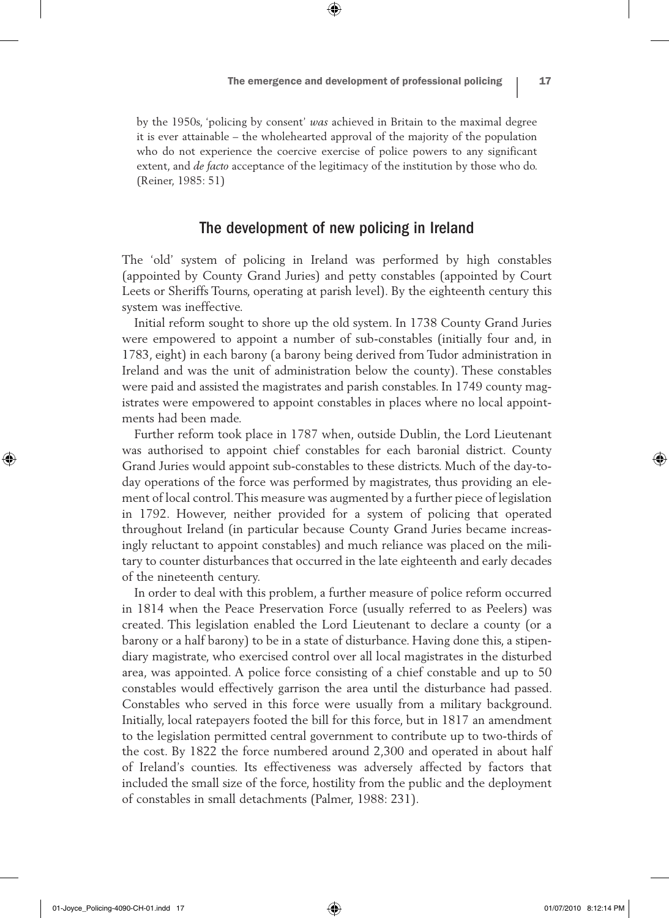by the 1950s, 'policing by consent' *was* achieved in Britain to the maximal degree it is ever attainable – the wholehearted approval of the majority of the population who do not experience the coercive exercise of police powers to any significant extent, and *de facto* acceptance of the legitimacy of the institution by those who do. (Reiner, 1985: 51)

⊕

#### The development of new policing in Ireland

The 'old' system of policing in Ireland was performed by high constables (appointed by County Grand Juries) and petty constables (appointed by Court Leets or Sheriffs Tourns, operating at parish level). By the eighteenth century this system was ineffective.

Initial reform sought to shore up the old system. In 1738 County Grand Juries were empowered to appoint a number of sub-constables (initially four and, in 1783, eight) in each barony (a barony being derived from Tudor administration in Ireland and was the unit of administration below the county). These constables were paid and assisted the magistrates and parish constables. In 1749 county magistrates were empowered to appoint constables in places where no local appointments had been made.

Further reform took place in 1787 when, outside Dublin, the Lord Lieutenant was authorised to appoint chief constables for each baronial district. County Grand Juries would appoint sub-constables to these districts. Much of the day-today operations of the force was performed by magistrates, thus providing an element of local control. This measure was augmented by a further piece of legislation in 1792. However, neither provided for a system of policing that operated throughout Ireland (in particular because County Grand Juries became increasingly reluctant to appoint constables) and much reliance was placed on the military to counter disturbances that occurred in the late eighteenth and early decades of the nineteenth century.

In order to deal with this problem, a further measure of police reform occurred in 1814 when the Peace Preservation Force (usually referred to as Peelers) was created. This legislation enabled the Lord Lieutenant to declare a county (or a barony or a half barony) to be in a state of disturbance. Having done this, a stipendiary magistrate, who exercised control over all local magistrates in the disturbed area, was appointed. A police force consisting of a chief constable and up to 50 constables would effectively garrison the area until the disturbance had passed. Constables who served in this force were usually from a military background. Initially, local ratepayers footed the bill for this force, but in 1817 an amendment to the legislation permitted central government to contribute up to two-thirds of the cost. By 1822 the force numbered around 2,300 and operated in about half of Ireland's counties. Its effectiveness was adversely affected by factors that included the small size of the force, hostility from the public and the deployment of constables in small detachments (Palmer, 1988: 231).

♠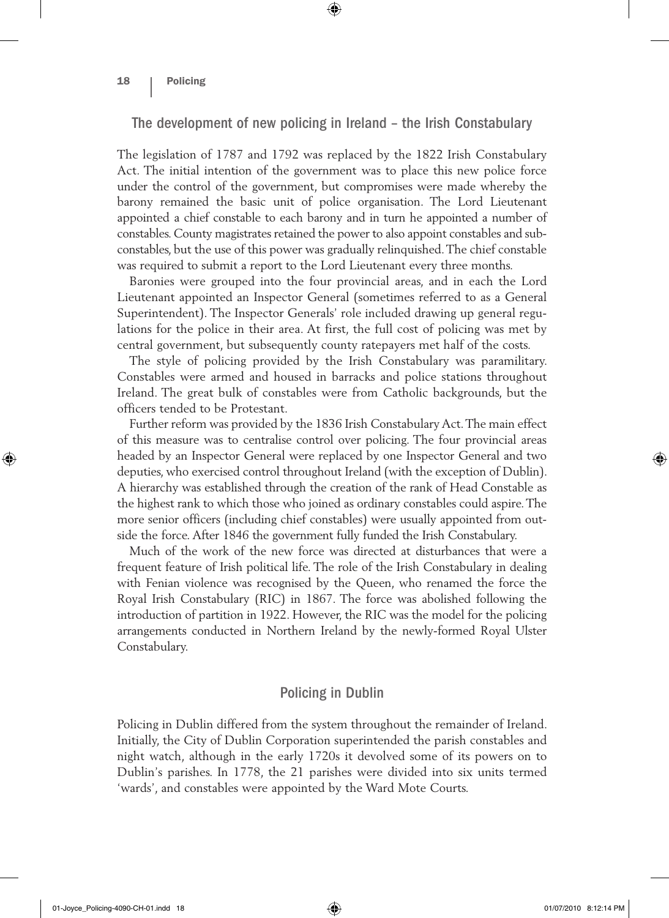#### 18 | Policing

#### The development of new policing in Ireland – the Irish Constabulary

⊕

The legislation of 1787 and 1792 was replaced by the 1822 Irish Constabulary Act. The initial intention of the government was to place this new police force under the control of the government, but compromises were made whereby the barony remained the basic unit of police organisation. The Lord Lieutenant appointed a chief constable to each barony and in turn he appointed a number of constables. County magistrates retained the power to also appoint constables and subconstables, but the use of this power was gradually relinquished. The chief constable was required to submit a report to the Lord Lieutenant every three months.

Baronies were grouped into the four provincial areas, and in each the Lord Lieutenant appointed an Inspector General (sometimes referred to as a General Superintendent). The Inspector Generals' role included drawing up general regulations for the police in their area. At first, the full cost of policing was met by central government, but subsequently county ratepayers met half of the costs.

The style of policing provided by the Irish Constabulary was paramilitary. Constables were armed and housed in barracks and police stations throughout Ireland. The great bulk of constables were from Catholic backgrounds, but the officers tended to be Protestant.

Further reform was provided by the 1836 Irish Constabulary Act. The main effect of this measure was to centralise control over policing. The four provincial areas headed by an Inspector General were replaced by one Inspector General and two deputies, who exercised control throughout Ireland (with the exception of Dublin). A hierarchy was established through the creation of the rank of Head Constable as the highest rank to which those who joined as ordinary constables could aspire. The more senior officers (including chief constables) were usually appointed from outside the force. After 1846 the government fully funded the Irish Constabulary.

Much of the work of the new force was directed at disturbances that were a frequent feature of Irish political life. The role of the Irish Constabulary in dealing with Fenian violence was recognised by the Queen, who renamed the force the Royal Irish Constabulary (RIC) in 1867. The force was abolished following the introduction of partition in 1922. However, the RIC was the model for the policing arrangements conducted in Northern Ireland by the newly-formed Royal Ulster Constabulary.

#### Policing in Dublin

Policing in Dublin differed from the system throughout the remainder of Ireland. Initially, the City of Dublin Corporation superintended the parish constables and night watch, although in the early 1720s it devolved some of its powers on to Dublin's parishes. In 1778, the 21 parishes were divided into six units termed 'wards', and constables were appointed by the Ward Mote Courts.

01-Joyce\_Policing-4090-CH-01.indd 18 01/07/2010 8:12:14 PM

⊕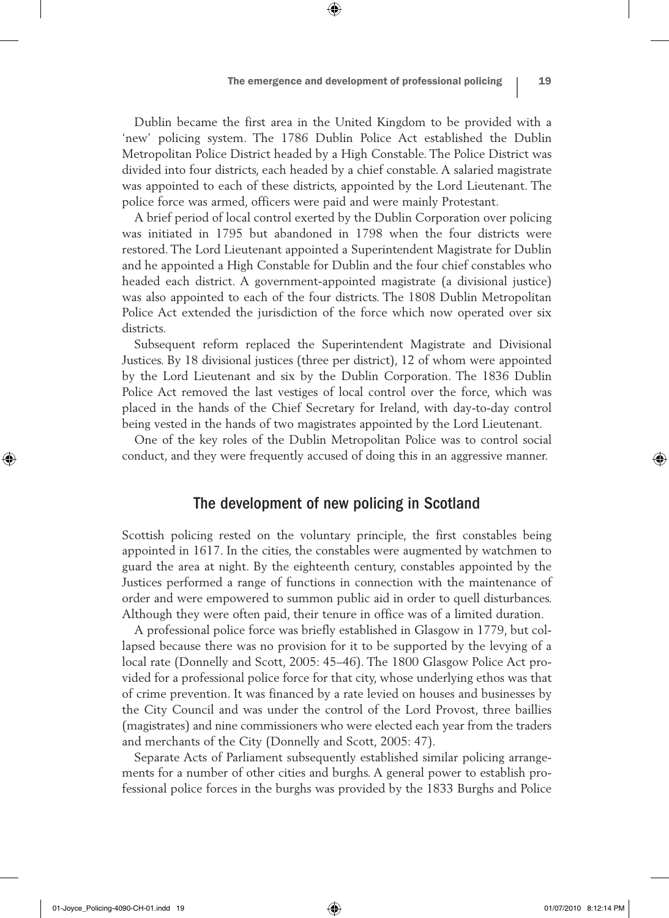Dublin became the first area in the United Kingdom to be provided with a 'new' policing system. The 1786 Dublin Police Act established the Dublin Metropolitan Police District headed by a High Constable. The Police District was divided into four districts, each headed by a chief constable. A salaried magistrate was appointed to each of these districts, appointed by the Lord Lieutenant. The police force was armed, officers were paid and were mainly Protestant.

⊕

A brief period of local control exerted by the Dublin Corporation over policing was initiated in 1795 but abandoned in 1798 when the four districts were restored. The Lord Lieutenant appointed a Superintendent Magistrate for Dublin and he appointed a High Constable for Dublin and the four chief constables who headed each district. A government-appointed magistrate (a divisional justice) was also appointed to each of the four districts. The 1808 Dublin Metropolitan Police Act extended the jurisdiction of the force which now operated over six districts.

Subsequent reform replaced the Superintendent Magistrate and Divisional Justices. By 18 divisional justices (three per district), 12 of whom were appointed by the Lord Lieutenant and six by the Dublin Corporation. The 1836 Dublin Police Act removed the last vestiges of local control over the force, which was placed in the hands of the Chief Secretary for Ireland, with day-to-day control being vested in the hands of two magistrates appointed by the Lord Lieutenant.

One of the key roles of the Dublin Metropolitan Police was to control social conduct, and they were frequently accused of doing this in an aggressive manner.

# The development of new policing in Scotland

Scottish policing rested on the voluntary principle, the first constables being appointed in 1617. In the cities, the constables were augmented by watchmen to guard the area at night. By the eighteenth century, constables appointed by the Justices performed a range of functions in connection with the maintenance of order and were empowered to summon public aid in order to quell disturbances. Although they were often paid, their tenure in office was of a limited duration.

A professional police force was briefly established in Glasgow in 1779, but collapsed because there was no provision for it to be supported by the levying of a local rate (Donnelly and Scott, 2005: 45–46). The 1800 Glasgow Police Act provided for a professional police force for that city, whose underlying ethos was that of crime prevention. It was financed by a rate levied on houses and businesses by the City Council and was under the control of the Lord Provost, three baillies (magistrates) and nine commissioners who were elected each year from the traders and merchants of the City (Donnelly and Scott, 2005: 47).

Separate Acts of Parliament subsequently established similar policing arrangements for a number of other cities and burghs. A general power to establish professional police forces in the burghs was provided by the 1833 Burghs and Police

♠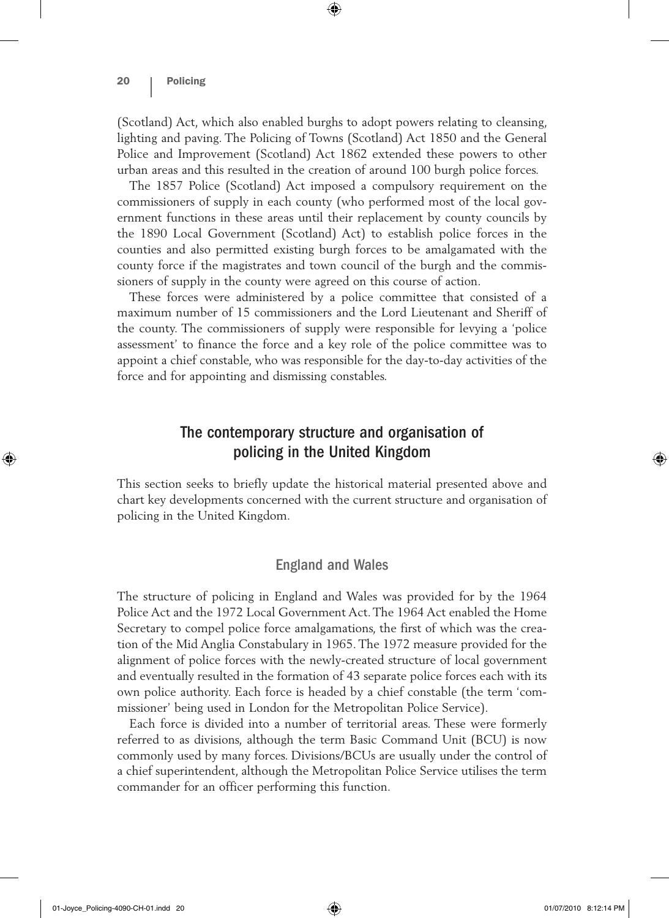#### 20 | Policing

(Scotland) Act, which also enabled burghs to adopt powers relating to cleansing, lighting and paving. The Policing of Towns (Scotland) Act 1850 and the General Police and Improvement (Scotland) Act 1862 extended these powers to other urban areas and this resulted in the creation of around 100 burgh police forces.

 $\textcircled{\scriptsize{*}}$ 

The 1857 Police (Scotland) Act imposed a compulsory requirement on the commissioners of supply in each county (who performed most of the local government functions in these areas until their replacement by county councils by the 1890 Local Government (Scotland) Act) to establish police forces in the counties and also permitted existing burgh forces to be amalgamated with the county force if the magistrates and town council of the burgh and the commissioners of supply in the county were agreed on this course of action.

These forces were administered by a police committee that consisted of a maximum number of 15 commissioners and the Lord Lieutenant and Sheriff of the county. The commissioners of supply were responsible for levying a 'police assessment' to finance the force and a key role of the police committee was to appoint a chief constable, who was responsible for the day-to-day activities of the force and for appointing and dismissing constables.

# The contemporary structure and organisation of policing in the United Kingdom

This section seeks to briefly update the historical material presented above and chart key developments concerned with the current structure and organisation of policing in the United Kingdom.

#### England and Wales

The structure of policing in England and Wales was provided for by the 1964 Police Act and the 1972 Local Government Act. The 1964 Act enabled the Home Secretary to compel police force amalgamations, the first of which was the creation of the Mid Anglia Constabulary in 1965. The 1972 measure provided for the alignment of police forces with the newly-created structure of local government and eventually resulted in the formation of 43 separate police forces each with its own police authority. Each force is headed by a chief constable (the term 'commissioner' being used in London for the Metropolitan Police Service).

Each force is divided into a number of territorial areas. These were formerly referred to as divisions, although the term Basic Command Unit (BCU) is now commonly used by many forces. Divisions/BCUs are usually under the control of a chief superintendent, although the Metropolitan Police Service utilises the term commander for an officer performing this function.

⊕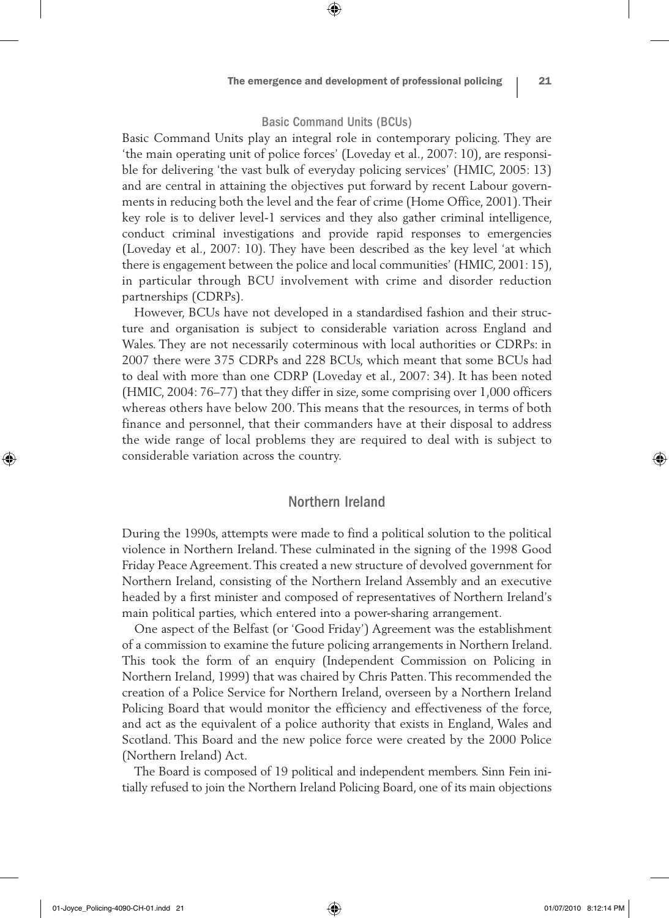#### Basic Command Units (BCUs)

⊕

Basic Command Units play an integral role in contemporary policing. They are 'the main operating unit of police forces' (Loveday et al., 2007: 10), are responsible for delivering 'the vast bulk of everyday policing services' (HMIC, 2005: 13) and are central in attaining the objectives put forward by recent Labour governments in reducing both the level and the fear of crime (Home Office, 2001). Their key role is to deliver level-1 services and they also gather criminal intelligence, conduct criminal investigations and provide rapid responses to emergencies (Loveday et al., 2007: 10). They have been described as the key level 'at which there is engagement between the police and local communities' (HMIC, 2001: 15), in particular through BCU involvement with crime and disorder reduction partnerships (CDRPs).

However, BCUs have not developed in a standardised fashion and their structure and organisation is subject to considerable variation across England and Wales. They are not necessarily coterminous with local authorities or CDRPs: in 2007 there were 375 CDRPs and 228 BCUs, which meant that some BCUs had to deal with more than one CDRP (Loveday et al., 2007: 34). It has been noted (HMIC, 2004: 76–77) that they differ in size, some comprising over 1,000 officers whereas others have below 200. This means that the resources, in terms of both finance and personnel, that their commanders have at their disposal to address the wide range of local problems they are required to deal with is subject to considerable variation across the country.

#### Northern Ireland

During the 1990s, attempts were made to find a political solution to the political violence in Northern Ireland. These culminated in the signing of the 1998 Good Friday Peace Agreement. This created a new structure of devolved government for Northern Ireland, consisting of the Northern Ireland Assembly and an executive headed by a first minister and composed of representatives of Northern Ireland's main political parties, which entered into a power-sharing arrangement.

One aspect of the Belfast (or 'Good Friday') Agreement was the establishment of a commission to examine the future policing arrangements in Northern Ireland. This took the form of an enquiry (Independent Commission on Policing in Northern Ireland, 1999) that was chaired by Chris Patten. This recommended the creation of a Police Service for Northern Ireland, overseen by a Northern Ireland Policing Board that would monitor the efficiency and effectiveness of the force, and act as the equivalent of a police authority that exists in England, Wales and Scotland. This Board and the new police force were created by the 2000 Police (Northern Ireland) Act.

The Board is composed of 19 political and independent members. Sinn Fein initially refused to join the Northern Ireland Policing Board, one of its main objections

01-Joyce\_Policing-4090-CH-01.indd 21 01/07/2010 8:12:14 PM

⊕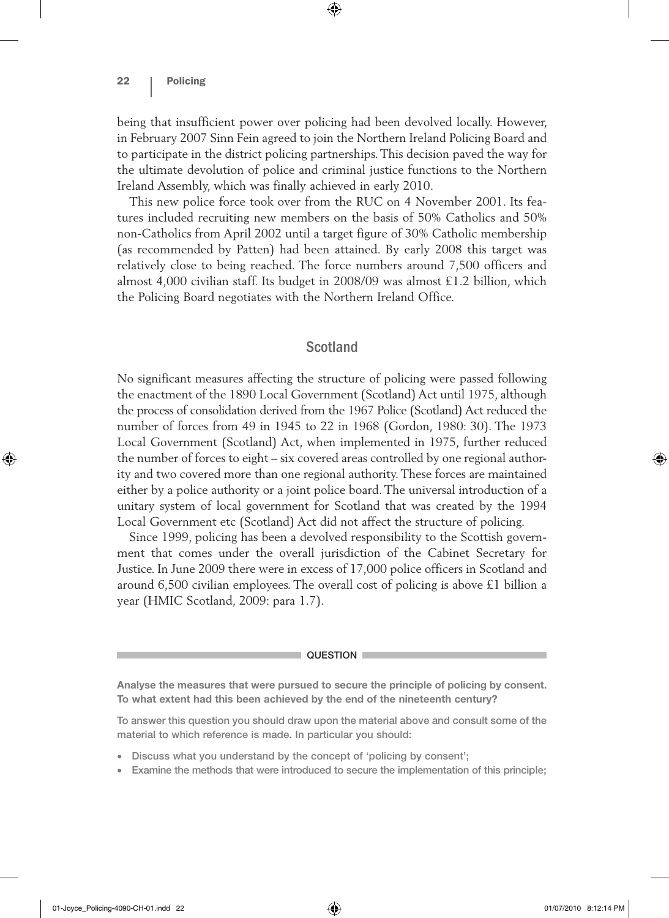being that insufficient power over policing had been devolved locally. However, in February 2007 Sinn Fein agreed to join the Northern Ireland Policing Board and to participate in the district policing partnerships. This decision paved the way for the ultimate devolution of police and criminal justice functions to the Northern Ireland Assembly, which was finally achieved in early 2010.

⊕

This new police force took over from the RUC on 4 November 2001. Its features included recruiting new members on the basis of 50% Catholics and 50% non-Catholics from April 2002 until a target figure of 30% Catholic membership (as recommended by Patten) had been attained. By early 2008 this target was relatively close to being reached. The force numbers around 7,500 officers and almost 4,000 civilian staff. Its budget in 2008/09 was almost £1.2 billion, which the Policing Board negotiates with the Northern Ireland Office.

# Scotland

No significant measures affecting the structure of policing were passed following the enactment of the 1890 Local Government (Scotland) Act until 1975, although the process of consolidation derived from the 1967 Police (Scotland) Act reduced the number of forces from 49 in 1945 to 22 in 1968 (Gordon, 1980: 30). The 1973 Local Government (Scotland) Act, when implemented in 1975, further reduced the number of forces to eight – six covered areas controlled by one regional authority and two covered more than one regional authority. These forces are maintained either by a police authority or a joint police board. The universal introduction of a unitary system of local government for Scotland that was created by the 1994 Local Government etc (Scotland) Act did not affect the structure of policing.

Since 1999, policing has been a devolved responsibility to the Scottish government that comes under the overall jurisdiction of the Cabinet Secretary for Justice. In June 2009 there were in excess of 17,000 police officers in Scotland and around 6,500 civilian employees. The overall cost of policing is above £1 billion a year (HMIC Scotland, 2009: para 1.7).

#### QUESTION **L**

**Analyse the measures that were pursued to secure the principle of policing by consent. To what extent had this been achieved by the end of the nineteenth century?**

To answer this question you should draw upon the material above and consult some of the material to which reference is made. In particular you should:

- Discuss what you understand by the concept of 'policing by consent';
- Examine the methods that were introduced to secure the implementation of this principle;

♠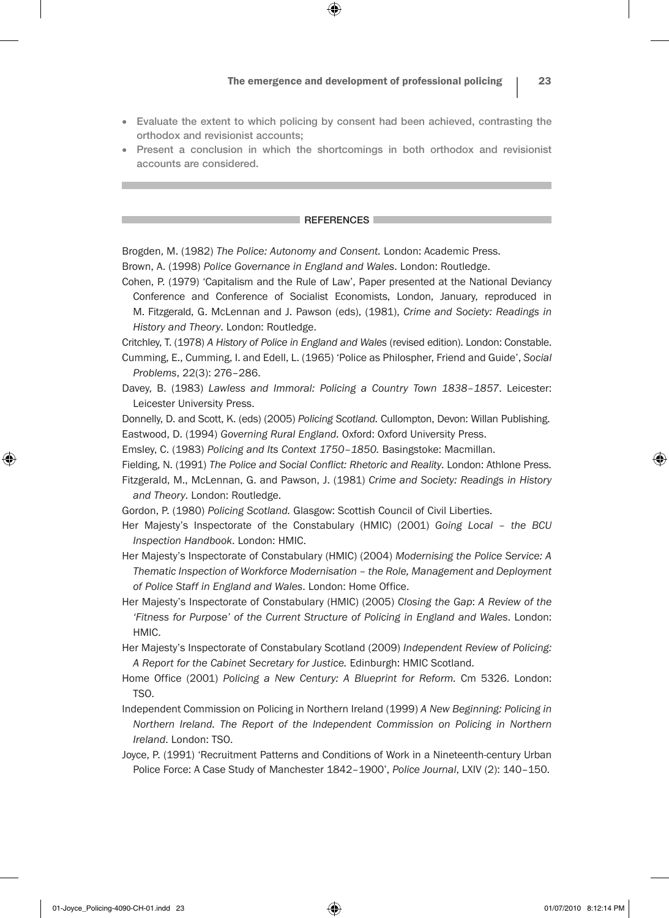• Evaluate the extent to which policing by consent had been achieved, contrasting the orthodox and revisionist accounts;

⊕

• Present a conclusion in which the shortcomings in both orthodox and revisionist accounts are considered.

#### **REFERENCES**

Brogden, M. (1982) *The Police: Autonomy and Consent.* London: Academic Press.

Brown, A. (1998) *Police Governance in England and Wales*. London: Routledge.

Cohen, P. (1979) 'Capitalism and the Rule of Law', Paper presented at the National Deviancy Conference and Conference of Socialist Economists, London, January, reproduced in M. Fitzgerald, G. McLennan and J. Pawson (eds), (1981), *Crime and Society: Readings in History and Theory*. London: Routledge.

Critchley, T. (1978) *A History of Police in England and Wales* (revised edition). London: Constable. Cumming, E., Cumming, I. and Edell, L. (1965) 'Police as Philospher, Friend and Guide', *Social* 

*Problems*, 22(3): 276–286. Davey, B. (1983) *Lawless and Immoral: Policing a Country Town 1838–1857*. Leicester: Leicester University Press.

Donnelly, D. and Scott, K. (eds) (2005) *Policing Scotland.* Cullompton, Devon: Willan Publishing. Eastwood, D. (1994) *Governing Rural England.* Oxford: Oxford University Press.

Emsley, C. (1983) *Policing and Its Context 1750–1850.* Basingstoke: Macmillan.

Fielding, N. (1991) *The Police and Social Conflict: Rhetoric and Reality*. London: Athlone Press. Fitzgerald, M., McLennan, G. and Pawson, J. (1981) *Crime and Society: Readings in History and Theory*. London: Routledge.

Gordon, P. (1980) *Policing Scotland.* Glasgow: Scottish Council of Civil Liberties.

Her Majesty's Inspectorate of the Constabulary (HMIC) (2001) *Going Local – the BCU Inspection Handbook*. London: HMIC.

Her Majesty's Inspectorate of Constabulary (HMIC) (2004) *Modernising the Police Service: A Thematic Inspection of Workforce Modernisation – the Role, Management and Deployment of Police Staff in England and Wales*. London: Home Office.

Her Majesty's Inspectorate of Constabulary (HMIC) (2005) *Closing the Gap*: *A Review of the 'Fitness for Purpose' of the Current Structure of Policing in England and Wales*. London: HMIC.

Her Majesty's Inspectorate of Constabulary Scotland (2009) *Independent Review of Policing: A Report for the Cabinet Secretary for Justice.* Edinburgh: HMIC Scotland.

- Home Office (2001) *Policing a New Century: A Blueprint for Reform.* Cm 5326. London: TSO.
- Independent Commission on Policing in Northern Ireland (1999) *A New Beginning: Policing in Northern Ireland. The Report of the Independent Commission on Policing in Northern Ireland*. London: TSO.
- Joyce, P. (1991) 'Recruitment Patterns and Conditions of Work in a Nineteenth-century Urban Police Force: A Case Study of Manchester 1842–1900', *Police Journal*, LXIV (2): 140–150.

⊕